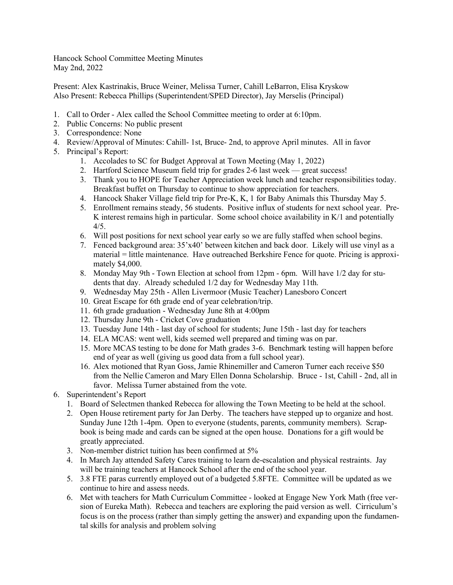Hancock School Committee Meeting Minutes May 2nd, 2022

Present: Alex Kastrinakis, Bruce Weiner, Melissa Turner, Cahill LeBarron, Elisa Kryskow Also Present: Rebecca Phillips (Superintendent/SPED Director), Jay Merselis (Principal)

- 1. Call to Order Alex called the School Committee meeting to order at 6:10pm.
- 2. Public Concerns: No public present
- 3. Correspondence: None
- 4. Review/Approval of Minutes: Cahill- 1st, Bruce- 2nd, to approve April minutes. All in favor
- 5. Principal's Report:
	- 1. Accolades to SC for Budget Approval at Town Meeting (May 1, 2022)
	- 2. Hartford Science Museum field trip for grades 2-6 last week great success!
	- 3. Thank you to HOPE for Teacher Appreciation week lunch and teacher responsibilities today. Breakfast buffet on Thursday to continue to show appreciation for teachers.
	- 4. Hancock Shaker Village field trip for Pre-K, K, 1 for Baby Animals this Thursday May 5.
	- 5. Enrollment remains steady, 56 students. Positive influx of students for next school year. Pre-K interest remains high in particular. Some school choice availability in  $K/1$  and potentially 4/5.
	- 6. Will post positions for next school year early so we are fully staffed when school begins.
	- 7. Fenced background area: 35'x40' between kitchen and back door. Likely will use vinyl as a material = little maintenance. Have outreached Berkshire Fence for quote. Pricing is approximately \$4,000.
	- 8. Monday May 9th Town Election at school from 12pm 6pm. Will have 1/2 day for students that day. Already scheduled 1/2 day for Wednesday May 11th.
	- 9. Wednesday May 25th Allen Livermoor (Music Teacher) Lanesboro Concert
	- 10. Great Escape for 6th grade end of year celebration/trip.
	- 11. 6th grade graduation Wednesday June 8th at 4:00pm
	- 12. Thursday June 9th Cricket Cove graduation
	- 13. Tuesday June 14th last day of school for students; June 15th last day for teachers
	- 14. ELA MCAS: went well, kids seemed well prepared and timing was on par.
	- 15. More MCAS testing to be done for Math grades 3-6. Benchmark testing will happen before end of year as well (giving us good data from a full school year).
	- 16. Alex motioned that Ryan Goss, Jamie Rhinemiller and Cameron Turner each receive \$50 from the Nellie Cameron and Mary Ellen Donna Scholarship. Bruce - 1st, Cahill - 2nd, all in favor. Melissa Turner abstained from the vote.
- 6. Superintendent's Report
	- 1. Board of Selectmen thanked Rebecca for allowing the Town Meeting to be held at the school.
	- 2. Open House retirement party for Jan Derby. The teachers have stepped up to organize and host. Sunday June 12th 1-4pm. Open to everyone (students, parents, community members). Scrapbook is being made and cards can be signed at the open house. Donations for a gift would be greatly appreciated.
	- 3. Non-member district tuition has been confirmed at 5%
	- 4. In March Jay attended Safety Cares training to learn de-escalation and physical restraints. Jay will be training teachers at Hancock School after the end of the school year.
	- 5. 3.8 FTE paras currently employed out of a budgeted 5.8FTE. Committee will be updated as we continue to hire and assess needs.
	- 6. Met with teachers for Math Curriculum Committee looked at Engage New York Math (free version of Eureka Math). Rebecca and teachers are exploring the paid version as well. Cirriculum's focus is on the process (rather than simply getting the answer) and expanding upon the fundamental skills for analysis and problem solving